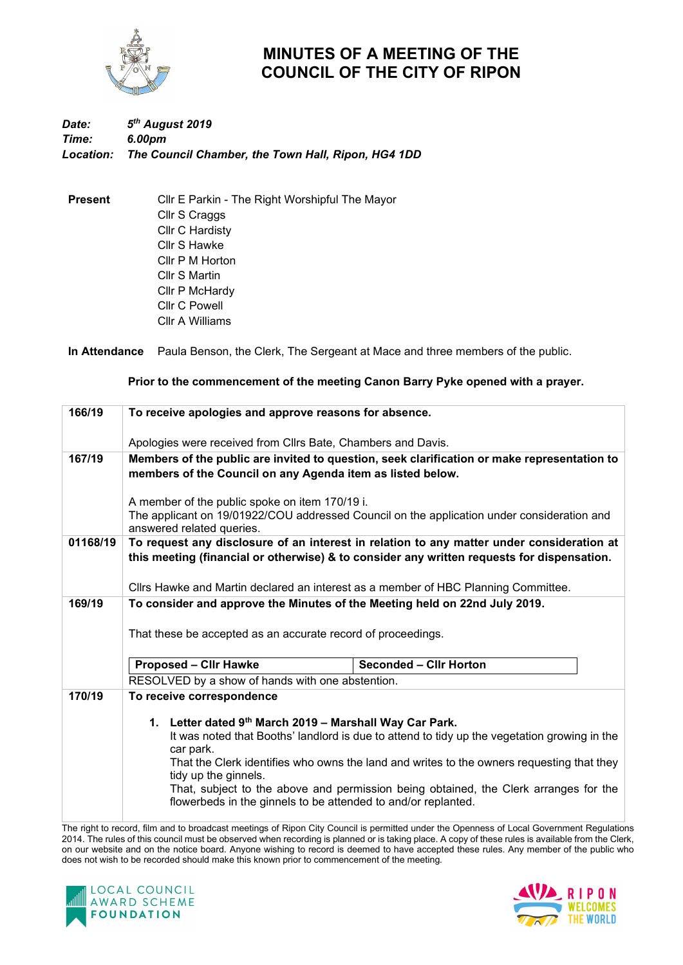

## **MINUTES OF A MEETING OF THE COUNCIL OF THE CITY OF RIPON**

## *Date: 5th August 2019 Time: 6.00pm Location: The Council Chamber, the Town Hall, Ripon, HG4 1DD*

**Present** Cllr E Parkin - The Right Worshipful The Mayor Cllr S Craggs Cllr C Hardisty Cllr S Hawke Cllr P M Horton Cllr S Martin Cllr P McHardy Cllr C Powell Cllr A Williams

**In Attendance** Paula Benson, the Clerk, The Sergeant at Mace and three members of the public.

## **Prior to the commencement of the meeting Canon Barry Pyke opened with a prayer.**

| 166/19   | To receive apologies and approve reasons for absence.                                                                                                                                                                                                                                                                                                                                                                                              |  |  |  |
|----------|----------------------------------------------------------------------------------------------------------------------------------------------------------------------------------------------------------------------------------------------------------------------------------------------------------------------------------------------------------------------------------------------------------------------------------------------------|--|--|--|
|          | Apologies were received from Cllrs Bate, Chambers and Davis.                                                                                                                                                                                                                                                                                                                                                                                       |  |  |  |
| 167/19   | Members of the public are invited to question, seek clarification or make representation to<br>members of the Council on any Agenda item as listed below.                                                                                                                                                                                                                                                                                          |  |  |  |
|          | A member of the public spoke on item 170/19 i.<br>The applicant on 19/01922/COU addressed Council on the application under consideration and<br>answered related queries.                                                                                                                                                                                                                                                                          |  |  |  |
| 01168/19 | To request any disclosure of an interest in relation to any matter under consideration at<br>this meeting (financial or otherwise) & to consider any written requests for dispensation.                                                                                                                                                                                                                                                            |  |  |  |
| 169/19   | Cllrs Hawke and Martin declared an interest as a member of HBC Planning Committee.                                                                                                                                                                                                                                                                                                                                                                 |  |  |  |
|          | To consider and approve the Minutes of the Meeting held on 22nd July 2019.<br>That these be accepted as an accurate record of proceedings.                                                                                                                                                                                                                                                                                                         |  |  |  |
|          | <b>Proposed - Cllr Hawke</b><br><b>Seconded - Cllr Horton</b>                                                                                                                                                                                                                                                                                                                                                                                      |  |  |  |
|          | RESOLVED by a show of hands with one abstention.                                                                                                                                                                                                                                                                                                                                                                                                   |  |  |  |
| 170/19   | To receive correspondence                                                                                                                                                                                                                                                                                                                                                                                                                          |  |  |  |
|          | 1. Letter dated 9th March 2019 - Marshall Way Car Park.<br>It was noted that Booths' landlord is due to attend to tidy up the vegetation growing in the<br>car park.<br>That the Clerk identifies who owns the land and writes to the owners requesting that they<br>tidy up the ginnels.<br>That, subject to the above and permission being obtained, the Clerk arranges for the<br>flowerbeds in the ginnels to be attended to and/or replanted. |  |  |  |

The right to record, film and to broadcast meetings of Ripon City Council is permitted under the Openness of Local Government Regulations 2014. The rules of this council must be observed when recording is planned or is taking place. A copy of these rules is available from the Clerk, on our website and on the notice board. Anyone wishing to record is deemed to have accepted these rules. Any member of the public who does not wish to be recorded should make this known prior to commencement of the meeting.



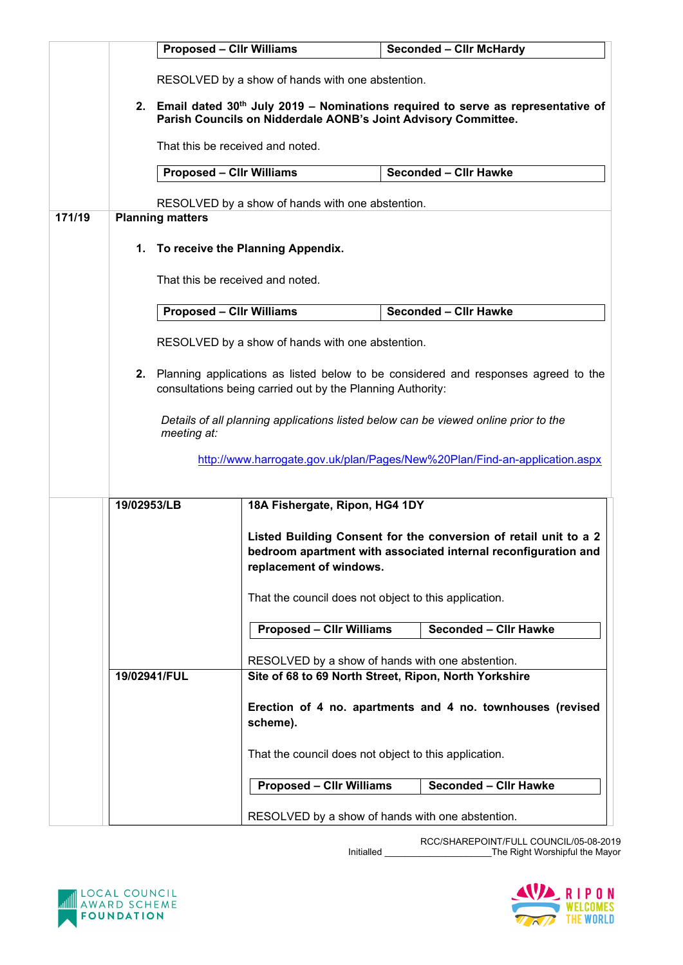|        |                                                                        | <b>Proposed - Cllr Williams</b>                                                                                                                                  |                                                                                     | <b>Seconded - Clir McHardy</b>                                                                                                     |  |  |
|--------|------------------------------------------------------------------------|------------------------------------------------------------------------------------------------------------------------------------------------------------------|-------------------------------------------------------------------------------------|------------------------------------------------------------------------------------------------------------------------------------|--|--|
|        |                                                                        | RESOLVED by a show of hands with one abstention.                                                                                                                 |                                                                                     |                                                                                                                                    |  |  |
|        |                                                                        | 2. Email dated 30 <sup>th</sup> July 2019 – Nominations required to serve as representative of<br>Parish Councils on Nidderdale AONB's Joint Advisory Committee. |                                                                                     |                                                                                                                                    |  |  |
|        |                                                                        | That this be received and noted.                                                                                                                                 |                                                                                     |                                                                                                                                    |  |  |
|        |                                                                        | <b>Proposed - Cllr Williams</b>                                                                                                                                  |                                                                                     | Seconded - Cllr Hawke                                                                                                              |  |  |
|        |                                                                        | RESOLVED by a show of hands with one abstention.                                                                                                                 |                                                                                     |                                                                                                                                    |  |  |
| 171/19 |                                                                        | <b>Planning matters</b>                                                                                                                                          |                                                                                     |                                                                                                                                    |  |  |
|        | 1. To receive the Planning Appendix.                                   |                                                                                                                                                                  |                                                                                     |                                                                                                                                    |  |  |
|        |                                                                        | That this be received and noted.                                                                                                                                 |                                                                                     |                                                                                                                                    |  |  |
|        |                                                                        | <b>Proposed - Cllr Williams</b>                                                                                                                                  |                                                                                     | <b>Seconded - Cllr Hawke</b>                                                                                                       |  |  |
|        | RESOLVED by a show of hands with one abstention.                       |                                                                                                                                                                  |                                                                                     |                                                                                                                                    |  |  |
|        |                                                                        | 2. Planning applications as listed below to be considered and responses agreed to the<br>consultations being carried out by the Planning Authority:              |                                                                                     |                                                                                                                                    |  |  |
|        |                                                                        |                                                                                                                                                                  |                                                                                     |                                                                                                                                    |  |  |
|        |                                                                        |                                                                                                                                                                  | Details of all planning applications listed below can be viewed online prior to the |                                                                                                                                    |  |  |
|        |                                                                        | meeting at:                                                                                                                                                      |                                                                                     |                                                                                                                                    |  |  |
|        |                                                                        | http://www.harrogate.gov.uk/plan/Pages/New%20Plan/Find-an-application.aspx                                                                                       |                                                                                     |                                                                                                                                    |  |  |
|        |                                                                        |                                                                                                                                                                  |                                                                                     |                                                                                                                                    |  |  |
|        | 19/02953/LB                                                            |                                                                                                                                                                  | 18A Fishergate, Ripon, HG4 1DY                                                      |                                                                                                                                    |  |  |
|        |                                                                        |                                                                                                                                                                  | replacement of windows.                                                             | Listed Building Consent for the conversion of retail unit to a 2<br>bedroom apartment with associated internal reconfiguration and |  |  |
|        |                                                                        |                                                                                                                                                                  | That the council does not object to this application.                               |                                                                                                                                    |  |  |
|        |                                                                        |                                                                                                                                                                  | <b>Proposed - Cllr Williams</b>                                                     | <b>Seconded - Cllr Hawke</b>                                                                                                       |  |  |
|        | 19/02941/FUL                                                           |                                                                                                                                                                  |                                                                                     | RESOLVED by a show of hands with one abstention.                                                                                   |  |  |
|        |                                                                        |                                                                                                                                                                  |                                                                                     | Site of 68 to 69 North Street, Ripon, North Yorkshire                                                                              |  |  |
|        | Erection of 4 no. apartments and 4 no. townhouses (revised<br>scheme). |                                                                                                                                                                  |                                                                                     |                                                                                                                                    |  |  |
|        |                                                                        |                                                                                                                                                                  |                                                                                     | That the council does not object to this application.                                                                              |  |  |
|        |                                                                        |                                                                                                                                                                  | <b>Proposed - Cllr Williams</b>                                                     | <b>Seconded - Cllr Hawke</b>                                                                                                       |  |  |
|        | RESOLVED by a show of hands with one abstention.                       |                                                                                                                                                                  |                                                                                     |                                                                                                                                    |  |  |

RCC/SHAREPOINT/FULL COUNCIL/05-08-2019 Initialled \_\_\_\_\_\_\_\_\_\_\_\_\_\_\_\_\_\_\_\_\_The Right Worshipful the Mayor



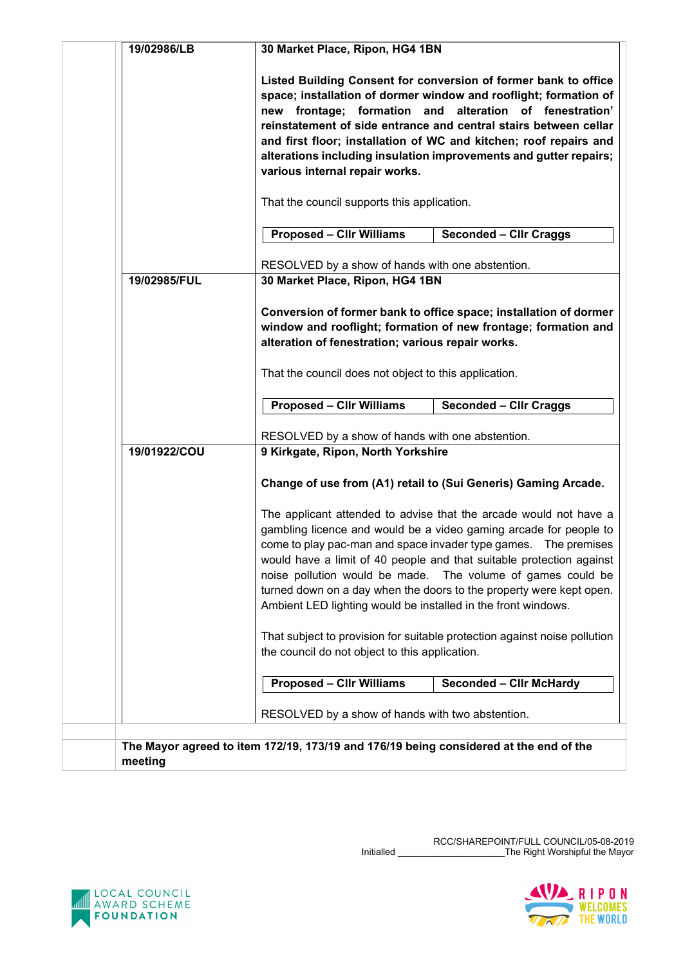| 19/02986/LB  | 30 Market Place, Ripon, HG4 1BN                                                                                                                                                                                                                                                                                                                                                                                                                                                           |  |  |
|--------------|-------------------------------------------------------------------------------------------------------------------------------------------------------------------------------------------------------------------------------------------------------------------------------------------------------------------------------------------------------------------------------------------------------------------------------------------------------------------------------------------|--|--|
|              | Listed Building Consent for conversion of former bank to office<br>space; installation of dormer window and rooflight; formation of<br>frontage; formation<br>alteration of fenestration'<br>and<br>new<br>reinstatement of side entrance and central stairs between cellar<br>and first floor; installation of WC and kitchen; roof repairs and<br>alterations including insulation improvements and gutter repairs;<br>various internal repair works.                                   |  |  |
|              | That the council supports this application.                                                                                                                                                                                                                                                                                                                                                                                                                                               |  |  |
|              | <b>Proposed - Cllr Williams</b><br><b>Seconded - Cllr Craggs</b>                                                                                                                                                                                                                                                                                                                                                                                                                          |  |  |
| 19/02985/FUL | RESOLVED by a show of hands with one abstention.<br>30 Market Place, Ripon, HG4 1BN                                                                                                                                                                                                                                                                                                                                                                                                       |  |  |
|              | Conversion of former bank to office space; installation of dormer<br>window and rooflight; formation of new frontage; formation and<br>alteration of fenestration; various repair works.                                                                                                                                                                                                                                                                                                  |  |  |
|              | That the council does not object to this application.                                                                                                                                                                                                                                                                                                                                                                                                                                     |  |  |
|              | <b>Proposed - Cllr Williams</b><br><b>Seconded - Cllr Craggs</b>                                                                                                                                                                                                                                                                                                                                                                                                                          |  |  |
| 19/01922/COU | RESOLVED by a show of hands with one abstention.<br>9 Kirkgate, Ripon, North Yorkshire                                                                                                                                                                                                                                                                                                                                                                                                    |  |  |
|              | Change of use from (A1) retail to (Sui Generis) Gaming Arcade.                                                                                                                                                                                                                                                                                                                                                                                                                            |  |  |
|              | The applicant attended to advise that the arcade would not have a<br>gambling licence and would be a video gaming arcade for people to<br>come to play pac-man and space invader type games.  The premises<br>would have a limit of 40 people and that suitable protection against<br>noise pollution would be made. The volume of games could be<br>turned down on a day when the doors to the property were kept open.<br>Ambient LED lighting would be installed in the front windows. |  |  |
|              | That subject to provision for suitable protection against noise pollution<br>the council do not object to this application.                                                                                                                                                                                                                                                                                                                                                               |  |  |
|              | <b>Proposed - Cllr Williams</b><br><b>Seconded - Clir McHardy</b>                                                                                                                                                                                                                                                                                                                                                                                                                         |  |  |
|              | RESOLVED by a show of hands with two abstention.                                                                                                                                                                                                                                                                                                                                                                                                                                          |  |  |
| meeting      | The Mayor agreed to item 172/19, 173/19 and 176/19 being considered at the end of the                                                                                                                                                                                                                                                                                                                                                                                                     |  |  |



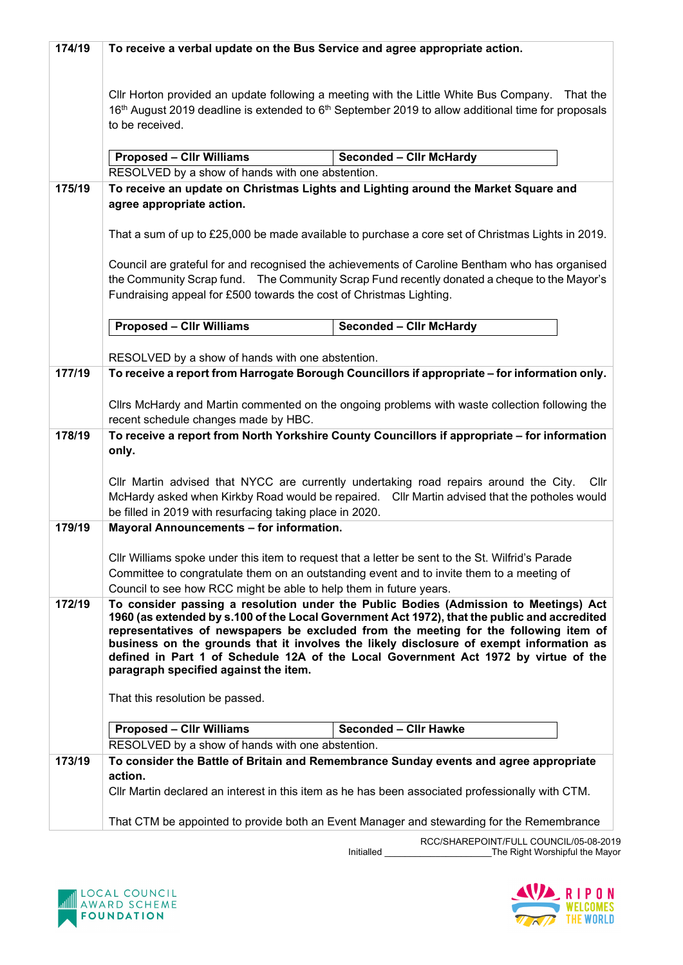| 174/19 | To receive a verbal update on the Bus Service and agree appropriate action.                                                                                                                   |  |  |  |
|--------|-----------------------------------------------------------------------------------------------------------------------------------------------------------------------------------------------|--|--|--|
|        |                                                                                                                                                                                               |  |  |  |
|        |                                                                                                                                                                                               |  |  |  |
|        | CIIr Horton provided an update following a meeting with the Little White Bus Company.<br>That the                                                                                             |  |  |  |
|        | 16th August 2019 deadline is extended to 6th September 2019 to allow additional time for proposals<br>to be received.                                                                         |  |  |  |
|        |                                                                                                                                                                                               |  |  |  |
|        | <b>Proposed - Cllr Williams</b><br><b>Seconded - Clir McHardy</b>                                                                                                                             |  |  |  |
|        | RESOLVED by a show of hands with one abstention.                                                                                                                                              |  |  |  |
| 175/19 | To receive an update on Christmas Lights and Lighting around the Market Square and                                                                                                            |  |  |  |
|        | agree appropriate action.                                                                                                                                                                     |  |  |  |
|        |                                                                                                                                                                                               |  |  |  |
|        | That a sum of up to £25,000 be made available to purchase a core set of Christmas Lights in 2019.                                                                                             |  |  |  |
|        | Council are grateful for and recognised the achievements of Caroline Bentham who has organised                                                                                                |  |  |  |
|        | the Community Scrap fund. The Community Scrap Fund recently donated a cheque to the Mayor's                                                                                                   |  |  |  |
|        | Fundraising appeal for £500 towards the cost of Christmas Lighting.                                                                                                                           |  |  |  |
|        |                                                                                                                                                                                               |  |  |  |
|        | <b>Proposed - CIIr Williams</b><br><b>Seconded - Cllr McHardy</b>                                                                                                                             |  |  |  |
|        |                                                                                                                                                                                               |  |  |  |
|        | RESOLVED by a show of hands with one abstention.                                                                                                                                              |  |  |  |
| 177/19 | To receive a report from Harrogate Borough Councillors if appropriate - for information only.                                                                                                 |  |  |  |
|        | Cllrs McHardy and Martin commented on the ongoing problems with waste collection following the                                                                                                |  |  |  |
|        | recent schedule changes made by HBC.                                                                                                                                                          |  |  |  |
| 178/19 | To receive a report from North Yorkshire County Councillors if appropriate - for information                                                                                                  |  |  |  |
|        | only.                                                                                                                                                                                         |  |  |  |
|        |                                                                                                                                                                                               |  |  |  |
|        | Cllr Martin advised that NYCC are currently undertaking road repairs around the City.<br>Cllr                                                                                                 |  |  |  |
|        | McHardy asked when Kirkby Road would be repaired.  Cllr Martin advised that the potholes would<br>be filled in 2019 with resurfacing taking place in 2020.                                    |  |  |  |
| 179/19 | Mayoral Announcements - for information.                                                                                                                                                      |  |  |  |
|        |                                                                                                                                                                                               |  |  |  |
|        | Cllr Williams spoke under this item to request that a letter be sent to the St. Wilfrid's Parade                                                                                              |  |  |  |
|        | Committee to congratulate them on an outstanding event and to invite them to a meeting of                                                                                                     |  |  |  |
|        | Council to see how RCC might be able to help them in future years.                                                                                                                            |  |  |  |
| 172/19 | To consider passing a resolution under the Public Bodies (Admission to Meetings) Act<br>1960 (as extended by s.100 of the Local Government Act 1972), that the public and accredited          |  |  |  |
|        | representatives of newspapers be excluded from the meeting for the following item of                                                                                                          |  |  |  |
|        | business on the grounds that it involves the likely disclosure of exempt information as                                                                                                       |  |  |  |
|        | defined in Part 1 of Schedule 12A of the Local Government Act 1972 by virtue of the                                                                                                           |  |  |  |
|        | paragraph specified against the item.                                                                                                                                                         |  |  |  |
|        | That this resolution be passed.                                                                                                                                                               |  |  |  |
|        |                                                                                                                                                                                               |  |  |  |
|        | <b>Proposed - Cllr Williams</b><br><b>Seconded - Cllr Hawke</b>                                                                                                                               |  |  |  |
|        | RESOLVED by a show of hands with one abstention.                                                                                                                                              |  |  |  |
| 173/19 | To consider the Battle of Britain and Remembrance Sunday events and agree appropriate                                                                                                         |  |  |  |
|        | action.                                                                                                                                                                                       |  |  |  |
|        | CIIr Martin declared an interest in this item as he has been associated professionally with CTM.<br>That CTM be appointed to provide both an Event Manager and stewarding for the Remembrance |  |  |  |
|        |                                                                                                                                                                                               |  |  |  |
|        | RCC/SHARFPOINT/FULL COUNCIL/05-08-201                                                                                                                                                         |  |  |  |

RCC/SHAREPOINT/FULL COUNCIL/05-08-2019 Initialled \_\_\_\_\_\_\_\_\_\_\_\_\_\_\_\_\_\_\_\_\_The Right Worshipful the Mayor